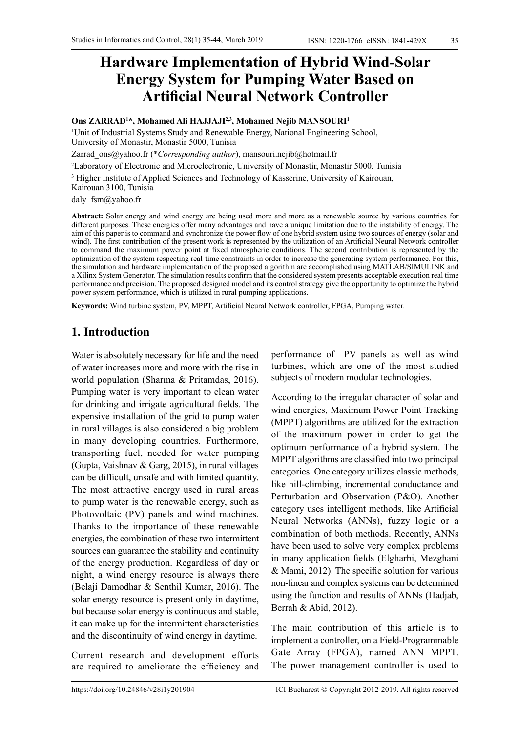# **Hardware Implementation of Hybrid Wind-Solar Energy System for Pumping Water Based on Artificial Neural Network Controller**

#### **Ons ZARRAD1 \*, Mohamed Ali HAJJAJI2,3, Mohamed Nejib MANSOURI<sup>1</sup>**

1 Unit of Industrial Systems Study and Renewable Energy, National Engineering School, University of Monastir, Monastir 5000, Tunisia

[Zarrad\\_ons@yahoo.fr](mailto:Zarrad_ons@yahoo.fr) (\**Corresponding author*), mansouri.nejib@hotmail.fr

2 Laboratory of Electronic and Microelectronic, University of Monastir, Monastir 5000, Tunisia

<sup>3</sup> Higher Institute of Applied Sciences and Technology of Kasserine, University of Kairouan,

Kairouan 3100, Tunisia

daly fsm@yahoo.fr

**Abstract:** Solar energy and wind energy are being used more and more as a renewable source by various countries for different purposes. These energies offer many advantages and have a unique limitation due to the instability of energy. The aim of this paper is to command and synchronize the power flow of one hybrid system using two sources of energy (solar and wind). The first contribution of the present work is represented by the utilization of an Artificial Neural Network controller to command the maximum power point at fixed atmospheric conditions. The second contribution is represented by the optimization of the system respecting real-time constraints in order to increase the generating system performance. For this, the simulation and hardware implementation of the proposed algorithm are accomplished using MATLAB/SIMULINK and a Xilinx System Generator. The simulation results confirm that the considered system presents acceptable execution real time performance and precision. The proposed designed model and its control strategy give the opportunity to optimize the hybrid power system performance, which is utilized in rural pumping applications.

**Keywords:** Wind turbine system, PV, MPPT, Artificial Neural Network controller, FPGA, Pumping water.

## **1. Introduction**

Water is absolutely necessary for life and the need of water increases more and more with the rise in world population (Sharma & Pritamdas, 2016). Pumping water is very important to clean water for drinking and irrigate agricultural fields. The expensive installation of the grid to pump water in rural villages is also considered a big problem in many developing countries. Furthermore, transporting fuel, needed for water pumping (Gupta, Vaishnav & Garg, 2015), in rural villages can be difficult, unsafe and with limited quantity. The most attractive energy used in rural areas to pump water is the renewable energy, such as Photovoltaic (PV) panels and wind machines. Thanks to the importance of these renewable energies, the combination of these two intermittent sources can guarantee the stability and continuity of the energy production. Regardless of day or night, a wind energy resource is always there (Belaji Damodhar & Senthil Kumar, 2016). The solar energy resource is present only in daytime, but because solar energy is continuous and stable, it can make up for the intermittent characteristics and the discontinuity of wind energy in daytime.

Current research and development efforts are required to ameliorate the efficiency and performance of PV panels as well as wind turbines, which are one of the most studied subjects of modern modular technologies.

According to the irregular character of solar and wind energies, Maximum Power Point Tracking (MPPT) algorithms are utilized for the extraction of the maximum power in order to get the optimum performance of a hybrid system. The MPPT algorithms are classified into two principal categories. One category utilizes classic methods, like hill-climbing, incremental conductance and Perturbation and Observation (P&O). Another category uses intelligent methods, like Artificial Neural Networks (ANNs), fuzzy logic or a combination of both methods. Recently, ANNs have been used to solve very complex problems in many application fields (Elgharbi, Mezghani & Mami, 2012). The specific solution for various non-linear and complex systems can be determined using the function and results of ANNs (Hadjab, Berrah & Abid, 2012).

The main contribution of this article is to implement a controller, on a Field-Programmable Gate Array (FPGA), named ANN MPPT. The power management controller is used to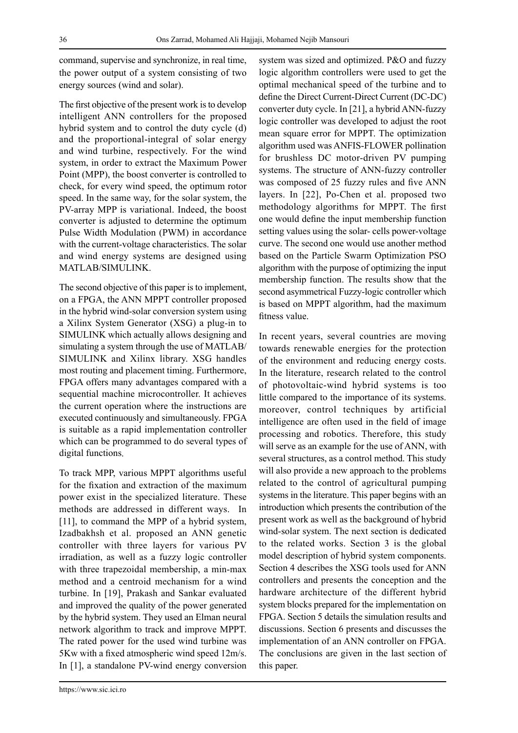command, supervise and synchronize, in real time, the power output of a system consisting of two energy sources (wind and solar).

The first objective of the present work is to develop intelligent ANN controllers for the proposed hybrid system and to control the duty cycle (d) and the proportional-integral of solar energy and wind turbine, respectively. For the wind system, in order to extract the Maximum Power Point (MPP), the boost converter is controlled to check, for every wind speed, the optimum rotor speed. In the same way, for the solar system, the PV-array MPP is variational. Indeed, the boost converter is adjusted to determine the optimum Pulse Width Modulation (PWM) in accordance with the current-voltage characteristics. The solar and wind energy systems are designed using MATLAB/SIMULINK.

The second objective of this paper is to implement, on a FPGA, the ANN MPPT controller proposed in the hybrid wind-solar conversion system using a Xilinx System Generator (XSG) a plug-in to SIMULINK which actually allows designing and simulating a system through the use of MATLAB/ SIMULINK and Xilinx library. XSG handles most routing and placement timing. Furthermore, FPGA offers many advantages compared with a sequential machine microcontroller. It achieves the current operation where the instructions are executed continuously and simultaneously. FPGA is suitable as a rapid implementation controller which can be programmed to do several types of digital functions.

To track MPP, various MPPT algorithms useful for the fixation and extraction of the maximum power exist in the specialized literature. These methods are addressed in different ways. In [11], to command the MPP of a hybrid system, Izadbakhsh et al. proposed an ANN genetic controller with three layers for various PV irradiation, as well as a fuzzy logic controller with three trapezoidal membership, a min-max method and a centroid mechanism for a wind turbine. In [19], Prakash and Sankar evaluated and improved the quality of the power generated by the hybrid system. They used an Elman neural network algorithm to track and improve MPPT. The rated power for the used wind turbine was 5Kw with a fixed atmospheric wind speed 12m/s. In [1], a standalone PV-wind energy conversion logic algorithm controllers were used to get the optimal mechanical speed of the turbine and to define the Direct Current-Direct Current (DC-DC) converter duty cycle. In [21], a hybrid ANN-fuzzy logic controller was developed to adjust the root mean square error for MPPT. The optimization algorithm used was ANFIS-FLOWER pollination for brushless DC motor-driven PV pumping systems. The structure of ANN-fuzzy controller was composed of 25 fuzzy rules and five ANN layers. In [22], Po-Chen et al. proposed two methodology algorithms for MPPT. The first one would define the input membership function setting values using the solar- cells power-voltage curve. The second one would use another method based on the Particle Swarm Optimization PSO algorithm with the purpose of optimizing the input membership function. The results show that the second asymmetrical Fuzzy-logic controller which is based on MPPT algorithm, had the maximum fitness value.

system was sized and optimized. P&O and fuzzy

In recent years, several countries are moving towards renewable energies for the protection of the environment and reducing energy costs. In the literature, research related to the control of photovoltaic-wind hybrid systems is too little compared to the importance of its systems. moreover, control techniques by artificial intelligence are often used in the field of image processing and robotics. Therefore, this study will serve as an example for the use of ANN, with several structures, as a control method. This study will also provide a new approach to the problems related to the control of agricultural pumping systems in the literature. This paper begins with an introduction which presents the contribution of the present work as well as the background of hybrid wind-solar system. The next section is dedicated to the related works. Section 3 is the global model description of hybrid system components. Section 4 describes the XSG tools used for ANN controllers and presents the conception and the hardware architecture of the different hybrid system blocks prepared for the implementation on FPGA. Section 5 details the simulation results and discussions. Section 6 presents and discusses the implementation of an ANN controller on FPGA. The conclusions are given in the last section of this paper.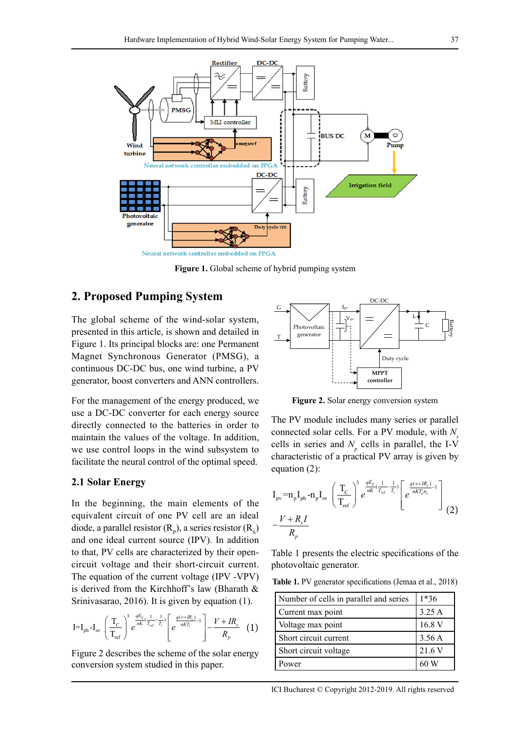

**Figure 1.** Global scheme of hybrid pumping system

### **2. Proposed Pumping System**

The global scheme of the wind-solar system, presented in this article, is shown and detailed in Figure 1. Its principal blocks are: one Permanent Magnet Synchronous Generator (PMSG), a continuous DC-DC bus, one wind turbine, a PV generator, boost converters and ANN controllers.

For the management of the energy produced, we use a DC-DC converter for each energy source directly connected to the batteries in order to maintain the values of the voltage. In addition, we use control loops in the wind subsystem to facilitate the neural control of the optimal speed.

#### **2.1 Solar Energy**

In the beginning, the main elements of the equivalent circuit of one PV cell are an ideal diode, a parallel resistor  $(R_p)$ , a series resistor  $(R_s)$ and one ideal current source (IPV). In addition to that, PV cells are characterized by their opencircuit voltage and their short-circuit current. The equation of the current voltage (IPV -VPV) is derived from the Kirchhoff's law (Bharath & Srinivasarao, 2016). It is given by equation (1).

$$
\mathbf{I} = \mathbf{I}_{\rm ph} - \mathbf{I}_{\rm or} \left( \frac{T_{\rm c}}{T_{\rm ref}} \right)^3 e^{\frac{qE_g}{nK} (\frac{1}{T_{\rm ref}} - \frac{1}{T_c})} \left[ e^{\frac{q(v + IR_s)}{nKT_c} - 1} \right] - \frac{V + IR_s}{R_p} (1)
$$

Figure 2 describes the scheme of the solar energy conversion system studied in this paper.



**Figure 2.** Solar energy conversion system

The PV module includes many series or parallel connected solar cells. For a PV module, with  $N_s$ cells in series and  $N_p$  cells in parallel, the I-V characteristic of a practical PV array is given by equation (2):

$$
I_{pv} = n_p I_{ph} - n_p I_{or} \left(\frac{T_C}{T_{ref}}\right)^3 e^{\frac{qE_g}{nK} (\frac{1}{T_{ref}} - \frac{1}{T_c})} \left[e^{\frac{q(v + IR_s)}{nKT_c n_s} - 1}\right] - \frac{V + R_s I}{R_p}
$$
 (2)

Table 1 presents the electric specifications of the photovoltaic generator.

**Table 1.** PV generator specifications (Jemaa et al., 2018)

| Number of cells in parallel and series | $1*36$ |
|----------------------------------------|--------|
| Current max point                      | 3.25A  |
| Voltage max point                      | 16.8 V |
| Short circuit current                  | 3.56A  |
| Short circuit voltage                  | 21.6V  |
| Power                                  |        |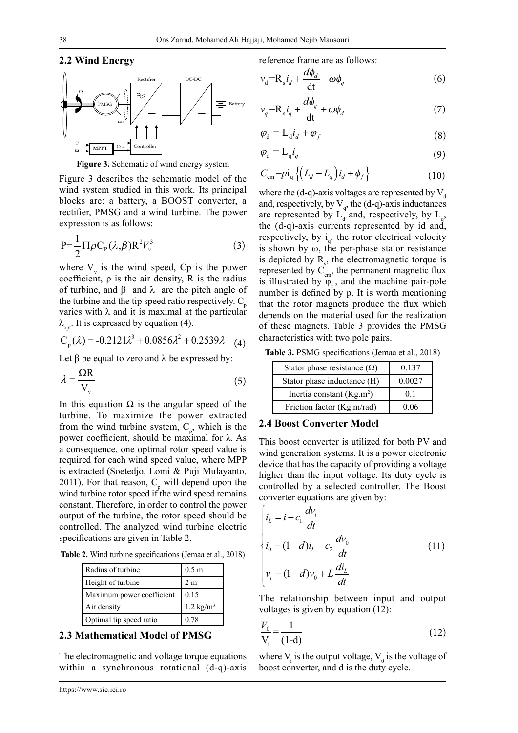#### **2.2 Wind Energy**



**Figure 3.** Schematic of wind energy system

Figure 3 describes the schematic model of the wind system studied in this work. Its principal blocks are: a battery, a BOOST converter, a rectifier, PMSG and a wind turbine. The power expression is as follows:

$$
P = \frac{1}{2} \Pi \rho C_{P} (\lambda, \beta) R^{2} V_{\nu}^{3}
$$
 (3)

where  $V_{v}$  is the wind speed, Cp is the power coefficient,  $\rho$  is the air density, R is the radius of turbine, and β and  $\lambda$  are the pitch angle of the turbine and the tip speed ratio respectively.  $C_{\mu}$ varies with λ and it is maximal at the particular  $\lambda_{\text{opt}}$ . It is expressed by equation (4).

$$
C_p(\lambda) = -0.2121\lambda^3 + 0.0856\lambda^2 + 0.2539\lambda \quad (4)
$$

Let  $\beta$  be equal to zero and  $\lambda$  be expressed by:

$$
\lambda = \frac{\Omega R}{V_v} \tag{5}
$$

In this equation  $Ω$  is the angular speed of the turbine. To maximize the power extracted from the wind turbine system,  $C_p$ , which is the power coefficient, should be maximal for  $λ$ . As a consequence, one optimal rotor speed value is required for each wind speed value, where MPP is extracted (Soetedjo, Lomi & Puji Mulayanto, 2011). For that reason,  $C_p$  will depend upon the wind turbine rotor speed if the wind speed remains constant. Therefore, in order to control the power output of the turbine, the rotor speed should be controlled. The analyzed wind turbine electric specifications are given in Table 2.

**Table 2.** Wind turbine specifications (Jemaa et al., 2018)

| Radius of turbine         | 0.5 <sub>m</sub>        |
|---------------------------|-------------------------|
| Height of turbine         | 2 m                     |
| Maximum power coefficient | 0.15                    |
| Air density               | $1.2$ kg/m <sup>3</sup> |
| Optimal tip speed ratio   | 0.78                    |

#### **2.3 Mathematical Model of PMSG**

The electromagnetic and voltage torque equations within a synchronous rotational (d-q)-axis reference frame are as follows:

$$
v_{d} = R_{s} i_{d} + \frac{d\phi_{d}}{dt} - \omega \phi_{q}
$$
 (6)

$$
v_q = R_s i_q + \frac{d\phi_q}{dt} + \omega \phi_d \tag{7}
$$

$$
\varphi_{\rm d} = \mathcal{L}_{\rm d} i_d + \varphi_f \tag{8}
$$

$$
\varphi_{\mathbf{q}} = \mathbf{L}_{\mathbf{q}} i_q \tag{9}
$$

$$
C_{\rm em} = p i_{\rm q} \left\{ \left( L_d - L_q \right) i_d + \phi_f \right\} \tag{10}
$$

where the (d-q)-axis voltages are represented by  $V_d$ and, respectively, by  $V_q$ , the (d-q)-axis inductances are represented by  $L_d$  and, respectively, by  $L_q$ , the (d-q)-axis currents represented by id and, respectively, by  $i_q$ , the rotor electrical velocity is shown by ω, the per-phase stator resistance is depicted by  $R_s$ , the electromagnetic torque is represented by  $C_{em}$ , the permanent magnetic flux is illustrated by  $\varphi_f$ , and the machine pair-pole number is defined by p. It is worth mentioning that the rotor magnets produce the flux which depends on the material used for the realization of these magnets. Table 3 provides the PMSG characteristics with two pole pairs.

**Table 3.** PSMG specifications (Jemaa et al., 2018)

| Stator phase resistance $(\Omega)$ | 0.137  |
|------------------------------------|--------|
| Stator phase inductance (H)        | 0.0027 |
| Inertia constant $(Kg.m2)$         | 01     |
| Friction factor (Kg.m/rad)         | 0.06   |

#### **2.4 Boost Converter Model**

This boost converter is utilized for both PV and wind generation systems. It is a power electronic device that has the capacity of providing a voltage higher than the input voltage. Its duty cycle is controlled by a selected controller. The Boost converter equations are given by:

$$
\begin{cases}\ni_{L} = i - c_{1} \frac{dv_{i}}{dt} \\
i_{0} = (1 - d)i_{L} - c_{2} \frac{dv_{0}}{dt} \\
v_{i} = (1 - d)v_{0} + L \frac{di_{L}}{dt}\n\end{cases}
$$
\n(11)

The relationship between input and output voltages is given by equation (12):

$$
\frac{V_0}{V_i} = \frac{1}{(1-d)}
$$
\n(12)

where  $V_i$  is the output voltage,  $V_0$  is the voltage of boost converter, and d is the duty cycle.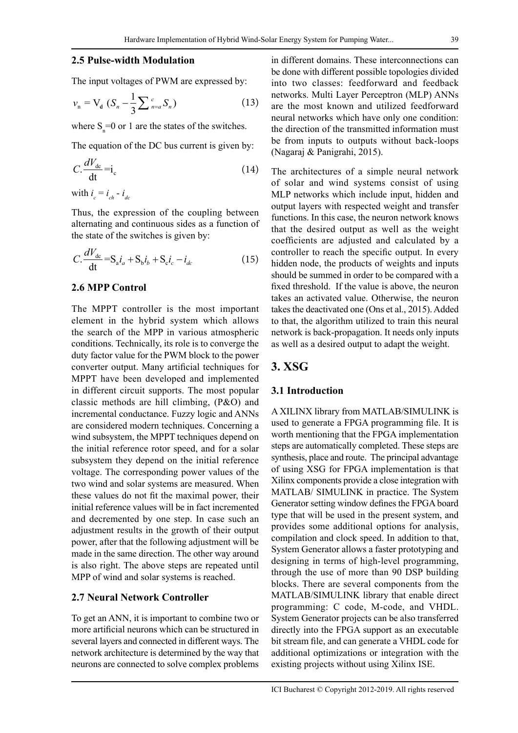#### **2.5 Pulse-width Modulation**

The input voltages of PWM are expressed by:

$$
v_n = V_d (S_n - \frac{1}{3} \sum_{n=a}^{c} S_n)
$$
 (13)

where  $S_n = 0$  or 1 are the states of the switches.

The equation of the DC bus current is given by:

$$
C.\frac{dV_{dc}}{dt} = i_c \tag{14}
$$

with  $i_c = i_{ch} - i_{dc}$ 

Thus, the expression of the coupling between alternating and continuous sides as a function of the state of the switches is given by:

$$
C. \frac{dV_{dc}}{dt} = S_a i_a + S_b i_b + S_c i_c - i_{dc}
$$
 (15)

#### **2.6 MPP Control**

The MPPT controller is the most important element in the hybrid system which allows the search of the MPP in various atmospheric conditions. Technically, its role is to converge the duty factor value for the PWM block to the power converter output. Many artificial techniques for MPPT have been developed and implemented in different circuit supports. The most popular classic methods are hill climbing, (P&O) and incremental conductance. Fuzzy logic and ANNs are considered modern techniques. Concerning a wind subsystem, the MPPT techniques depend on the initial reference rotor speed, and for a solar subsystem they depend on the initial reference voltage. The corresponding power values of the two wind and solar systems are measured. When these values do not fit the maximal power, their initial reference values will be in fact incremented and decremented by one step. In case such an adjustment results in the growth of their output power, after that the following adjustment will be made in the same direction. The other way around is also right. The above steps are repeated until MPP of wind and solar systems is reached.

#### **2.7 Neural Network Controller**

To get an ANN, it is important to combine two or more artificial neurons which can be structured in several layers and connected in different ways. The network architecture is determined by the way that neurons are connected to solve complex problems in different domains. These interconnections can be done with different possible topologies divided into two classes: feedforward and feedback networks. Multi Layer Perceptron (MLP) ANNs are the most known and utilized feedforward neural networks which have only one condition: the direction of the transmitted information must be from inputs to outputs without back-loops (Nagaraj & Panigrahi, 2015).

The architectures of a simple neural network of solar and wind systems consist of using MLP networks which include input, hidden and output layers with respected weight and transfer functions. In this case, the neuron network knows that the desired output as well as the weight coefficients are adjusted and calculated by a controller to reach the specific output. In every hidden node, the products of weights and inputs should be summed in order to be compared with a fixed threshold. If the value is above, the neuron takes an activated value. Otherwise, the neuron takes the deactivated one (Ons et al., 2015). Added to that, the algorithm utilized to train this neural network is back-propagation. It needs only inputs as well as a desired output to adapt the weight.

## **3. XSG**

#### **3.1 Introduction**

A XILINX library from MATLAB/SIMULINK is used to generate a FPGA programming file. It is worth mentioning that the FPGA implementation steps are automatically completed. These steps are synthesis, place and route. The principal advantage of using XSG for FPGA implementation is that Xilinx components provide a close integration with MATLAB/ SIMULINK in practice. The System Generator setting window defines the FPGA board type that will be used in the present system, and provides some additional options for analysis, compilation and clock speed. In addition to that, System Generator allows a faster prototyping and designing in terms of high-level programming, through the use of more than 90 DSP building blocks. There are several components from the MATLAB/SIMULINK library that enable direct programming: C code, M-code, and VHDL. System Generator projects can be also transferred directly into the FPGA support as an executable bit stream file, and can generate a VHDL code for additional optimizations or integration with the existing projects without using Xilinx ISE.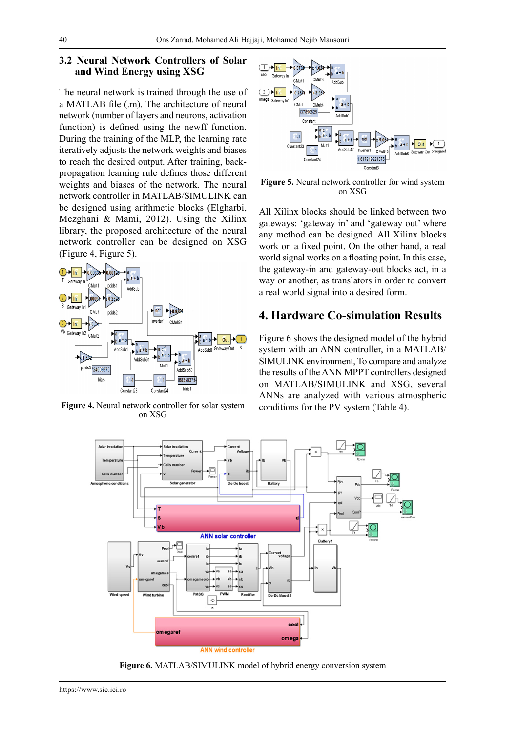#### **3.2 Neural Network Controllers of Solar and Wind Energy using XSG**

The neural network is trained through the use of a MATLAB file (.m). The architecture of neural network (number of layers and neurons, activation function) is defined using the newff function. During the training of the MLP, the learning rate iteratively adjusts the network weights and biases to reach the desired output. After training, backpropagation learning rule defines those different weights and biases of the network. The neural network controller in MATLAB/SIMULINK can be designed using arithmetic blocks (Elgharbi, Mezghani & Mami, 2012). Using the Xilinx library, the proposed architecture of the neural network controller can be designed on XSG (Figure 4, Figure 5).



**Figure 4.** Neural network controller for solar system on XSG



**Figure 5.** Neural network controller for wind system on XSG

All Xilinx blocks should be linked between two gateways: 'gateway in' and 'gateway out' where any method can be designed. All Xilinx blocks work on a fixed point. On the other hand, a real world signal works on a floating point. In this case, the gateway-in and gateway-out blocks act, in a way or another, as translators in order to convert a real world signal into a desired form.

## **4. Hardware Co-simulation Results**

Figure 6 shows the designed model of the hybrid system with an ANN controller, in a MATLAB/ SIMULINK environment, To compare and analyze the results of the ANN MPPT controllers designed on MATLAB/SIMULINK and XSG, several ANNs are analyzed with various atmospheric conditions for the PV system (Table 4).



**Figure 6.** MATLAB/SIMULINK model of hybrid energy conversion system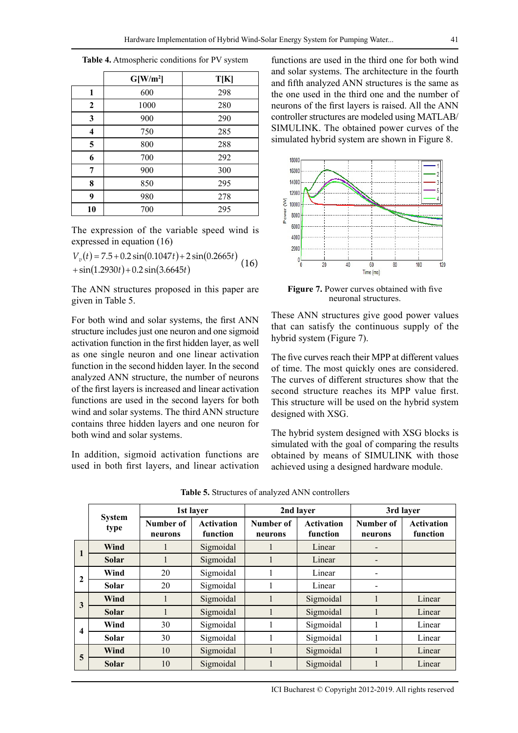|              | $G[W/m^2]$ | T[K] |
|--------------|------------|------|
| 1            | 600        | 298  |
| $\mathbf{2}$ | 1000       | 280  |
| 3            | 900        | 290  |
| 4            | 750        | 285  |
| 5            | 800        | 288  |
| 6            | 700        | 292  |
| 7            | 900        | 300  |
| 8            | 850        | 295  |
| 9            | 980        | 278  |
| 10           | 700        | 295  |

**Table 4.** Atmospheric conditions for PV system

The expression of the variable speed wind is expressed in equation (16)

 $V_v(t) = 7.5 + 0.2 \sin(0.1047t) + 2 \sin(0.2665t)$  (16)  $+ \sin(1.2930t) + 0.2 \sin(3.6645t)$ 

The ANN structures proposed in this paper are given in Table 5.

For both wind and solar systems, the first ANN structure includes just one neuron and one sigmoid activation function in the first hidden layer, as well as one single neuron and one linear activation function in the second hidden layer. In the second analyzed ANN structure, the number of neurons of the first layers is increased and linear activation functions are used in the second layers for both wind and solar systems. The third ANN structure contains three hidden layers and one neuron for both wind and solar systems.

In addition, sigmoid activation functions are used in both first layers, and linear activation functions are used in the third one for both wind and solar systems. The architecture in the fourth and fifth analyzed ANN structures is the same as the one used in the third one and the number of neurons of the first layers is raised. All the ANN controller structures are modeled using MATLAB/ SIMULINK. The obtained power curves of the simulated hybrid system are shown in Figure 8.



**Figure 7.** Power curves obtained with five neuronal structures.

These ANN structures give good power values that can satisfy the continuous supply of the hybrid system (Figure 7).

The five curves reach their MPP at different values of time. The most quickly ones are considered. The curves of different structures show that the second structure reaches its MPP value first. This structure will be used on the hybrid system designed with XSG.

The hybrid system designed with XSG blocks is simulated with the goal of comparing the results obtained by means of SIMULINK with those achieved using a designed hardware module.

|                         |                       |                      | 1st layer                     | 2nd layer            |                               | 3rd layer            |                               |
|-------------------------|-----------------------|----------------------|-------------------------------|----------------------|-------------------------------|----------------------|-------------------------------|
|                         | <b>System</b><br>type | Number of<br>neurons | <b>Activation</b><br>function | Number of<br>neurons | <b>Activation</b><br>function | Number of<br>neurons | <b>Activation</b><br>function |
| 1                       | Wind                  |                      | Sigmoidal                     | 1                    | Linear                        |                      |                               |
|                         | Solar                 |                      | Sigmoidal                     | 1                    | Linear                        |                      |                               |
| $\mathbf{2}$            | Wind                  | 20                   | Sigmoidal                     | 1                    | Linear                        |                      |                               |
|                         | <b>Solar</b>          | 20                   | Sigmoidal                     |                      | Linear                        |                      |                               |
| 3                       | Wind                  |                      | Sigmoidal                     |                      | Sigmoidal                     |                      | Linear                        |
|                         | <b>Solar</b>          |                      | Sigmoidal                     | 1                    | Sigmoidal                     |                      | Linear                        |
|                         | Wind                  | 30                   | Sigmoidal                     | 1                    | Sigmoidal                     |                      | Linear                        |
| $\overline{\mathbf{4}}$ | Solar                 | 30                   | Sigmoidal                     | 1                    | Sigmoidal                     |                      | Linear                        |
|                         | Wind                  | 10                   | Sigmoidal                     |                      | Sigmoidal                     |                      | Linear                        |
| 5                       | <b>Solar</b>          | 10                   | Sigmoidal                     |                      | Sigmoidal                     |                      | Linear                        |

**Table 5.** Structures of analyzed ANN controllers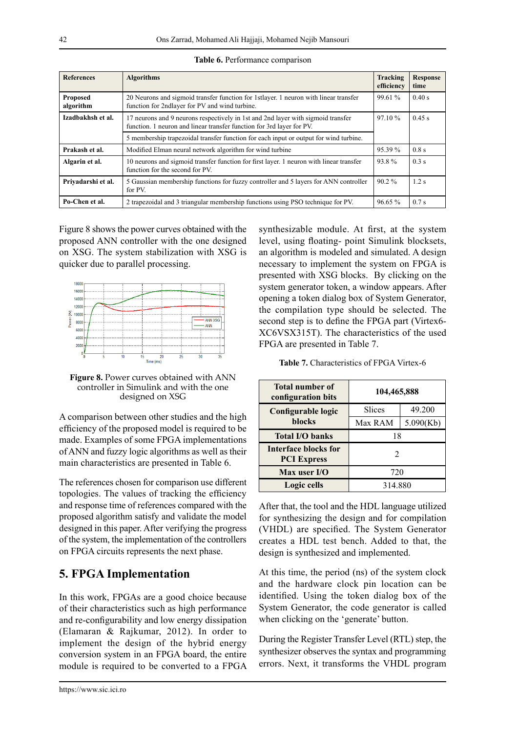| <b>References</b>            | <b>Algorithms</b>                                                                                                                                                   | Tracking<br>efficiency | <b>Response</b><br>time |
|------------------------------|---------------------------------------------------------------------------------------------------------------------------------------------------------------------|------------------------|-------------------------|
| <b>Proposed</b><br>algorithm | 20 Neurons and sigmoid transfer function for 1stlayer. 1 neuron with linear transfer<br>function for 2ndlayer for PV and wind turbine.                              | 99.61 %                | 0.40 s                  |
| Izadbakhsh et al.            | 17 neurons and 9 neurons respectively in 1st and 2nd layer with sigmoid transfer<br>97.10%<br>function. 1 neuron and linear transfer function for 3rd layer for PV. |                        | 0.45 s                  |
|                              | 5 membership trapezoidal transfer function for each input or output for wind turbine.                                                                               |                        |                         |
| Prakash et al.               | Modified Elman neural network algorithm for wind turbine                                                                                                            | 95.39 %                | 0.8 s                   |
| Algarin et al.               | 10 neurons and sigmoid transfer function for first layer. 1 neuron with linear transfer<br>function for the second for PV.                                          | 93.8%                  | $0.3$ s                 |
| Privadarshi et al.           | 5 Gaussian membership functions for fuzzy controller and 5 layers for ANN controller<br>for PV.                                                                     | $90.2 \%$              | $1.2$ s                 |
| Po-Chen et al.               | 2 trapezoidal and 3 triangular membership functions using PSO technique for PV.                                                                                     | 96.65 %                | $0.7$ s                 |

|  | Table 6. Performance comparison |  |
|--|---------------------------------|--|
|  |                                 |  |

Figure 8 shows the power curves obtained with the proposed ANN controller with the one designed on XSG. The system stabilization with XSG is quicker due to parallel processing.



**Figure 8.** Power curves obtained with ANN controller in Simulink and with the one designed on XSG

A comparison between other studies and the high efficiency of the proposed model is required to be made. Examples of some FPGA implementations of ANN and fuzzy logic algorithms as well as their main characteristics are presented in Table 6.

The references chosen for comparison use different topologies. The values of tracking the efficiency and response time of references compared with the proposed algorithm satisfy and validate the model designed in this paper. After verifying the progress of the system, the implementation of the controllers on FPGA circuits represents the next phase.

## **5. FPGA Implementation**

In this work, FPGAs are a good choice because of their characteristics such as high performance and re-configurability and low energy dissipation (Elamaran & Rajkumar, 2012). In order to implement the design of the hybrid energy conversion system in an FPGA board, the entire module is required to be converted to a FPGA

synthesizable module. At first, at the system level, using floating- point Simulink blocksets, an algorithm is modeled and simulated. A design necessary to implement the system on FPGA is presented with XSG blocks. By clicking on the system generator token, a window appears. After opening a token dialog box of System Generator, the compilation type should be selected. The second step is to define the FPGA part (Virtex6- XC6VSX315T). The characteristics of the used FPGA are presented in Table 7.

**Table 7.** Characteristics of FPGA Virtex-6

| <b>Total number of</b><br>configuration bits | 104,465,888    |           |
|----------------------------------------------|----------------|-----------|
| Configurable logic                           | Slices         | 49.200    |
| <b>blocks</b>                                | Max RAM        | 5.090(Kb) |
| <b>Total I/O banks</b>                       | 18             |           |
| Interface blocks for<br><b>PCI Express</b>   | $\mathfrak{D}$ |           |
| Max user I/O                                 | 720            |           |
| Logic cells                                  | 314.880        |           |

After that, the tool and the HDL language utilized for synthesizing the design and for compilation (VHDL) are specified. The System Generator creates a HDL test bench. Added to that, the design is synthesized and implemented.

At this time, the period (ns) of the system clock and the hardware clock pin location can be identified. Using the token dialog box of the System Generator, the code generator is called when clicking on the 'generate' button.

During the Register Transfer Level (RTL) step, the synthesizer observes the syntax and programming errors. Next, it transforms the VHDL program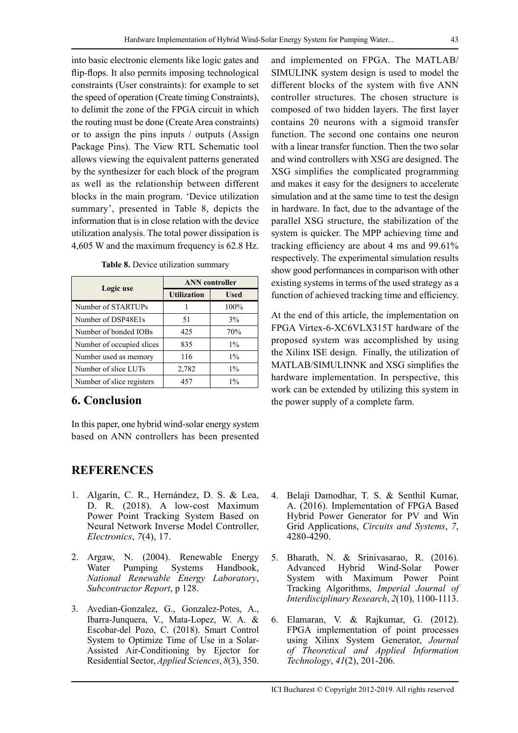into basic electronic elements like logic gates and flip-flops. It also permits imposing technological constraints (User constraints): for example to set the speed of operation (Create timing Constraints), to delimit the zone of the FPGA circuit in which the routing must be done (Create Area constraints) or to assign the pins inputs / outputs (Assign Package Pins). The View RTL Schematic tool allows viewing the equivalent patterns generated by the synthesizer for each block of the program as well as the relationship between different blocks in the main program. 'Device utilization summary', presented in Table 8, depicts the information that is in close relation with the device utilization analysis. The total power dissipation is 4,605 W and the maximum frequency is 62.8 Hz.

|  | Table 8. Device utilization summary |  |
|--|-------------------------------------|--|
|  |                                     |  |

| Logic use                 | <b>ANN</b> controller |             |  |
|---------------------------|-----------------------|-------------|--|
|                           | <b>Utilization</b>    | <b>Used</b> |  |
| Number of STARTUPs        |                       | 100%        |  |
| Number of DSP48E1s        | 51                    | 3%          |  |
| Number of bonded IOBs     | 425                   | 70%         |  |
| Number of occupied slices | 835                   | $1\%$       |  |
| Number used as memory     | 116                   | $1\%$       |  |
| Number of slice LUTs      | 2,782                 | $1\%$       |  |
| Number of slice registers | 457                   | $1\%$       |  |

## **6. Conclusion**

In this paper, one hybrid wind-solar energy system based on ANN controllers has been presented

## **REFERENCES**

- 1. Algarín, C. R., Hernández, D. S. & Lea, D. R. (2018). A low-cost Maximum Power Point Tracking System Based on Neural Network Inverse Model Controller, *[Electronics](http://www.mdpi.com/2079-9292/7)*, *7*(4), 17.
- 2. Argaw, N. (2004). Renewable Energy Water Pumping Systems Handbook, *National Renewable Energy Laboratory*, *Subcontractor Report*, p 128.
- 3. Avedian-Gonzalez, G., Gonzalez-Potes, A., Ibarra-Junquera, V., Mata-Lopez, W. A. & Escobar-del Pozo, C. (2018). Smart Control System to Optimize Time of Use in a Solar-Assisted Air-Conditioning by Ejector for Residential Sector, *Applied Sciences*, *8*(3), 350.

and implemented on FPGA. The MATLAB/ SIMULINK system design is used to model the different blocks of the system with five ANN controller structures. The chosen structure is composed of two hidden layers. The first layer contains 20 neurons with a sigmoid transfer function. The second one contains one neuron with a linear transfer function. Then the two solar and wind controllers with XSG are designed. The XSG simplifies the complicated programming and makes it easy for the designers to accelerate simulation and at the same time to test the design in hardware. In fact, due to the advantage of the parallel XSG structure, the stabilization of the system is quicker. The MPP achieving time and tracking efficiency are about 4 ms and 99.61% respectively. The experimental simulation results show good performances in comparison with other existing systems in terms of the used strategy as a function of achieved tracking time and efficiency.

At the end of this article, the implementation on FPGA Virtex-6-XC6VLX315T hardware of the proposed system was accomplished by using the Xilinx ISE design. Finally, the utilization of MATLAB/SIMULINNK and XSG simplifies the hardware implementation. In perspective, this work can be extended by utilizing this system in the power supply of a complete farm.

- 4. Belaji Damodhar, T. S. & Senthil Kumar, A. (2016). Implementation of FPGA Based Hybrid Power Generator for PV and Win Grid Applications, *Circuits and Systems*, *7*, 4280-4290.
- 5. Bharath, N. & Srinivasarao, R. (2016). Advanced Hybrid Wind-Solar Power System with Maximum Power Point Tracking Algorithms, *Imperial Journal of Interdisciplinary Research*, *2*(10), 1100-1113.
- 6. Elamaran, V. & Rajkumar, G. (2012). FPGA implementation of point processes using Xilinx System Generator, *Journal of Theoretical and Applied Information Technology*, *41*(2), 201-206.